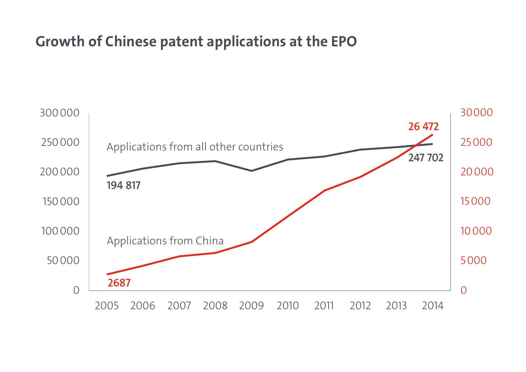#### Growth of Chinese patent applications at the EPO

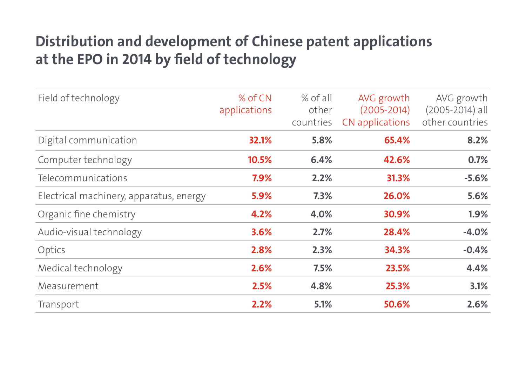### Distribution and development of Chinese patent applications at the EPO in 2014 by field of technology

| Field of technology                     | % of CN<br>applications | $%$ of all<br>other<br>countries | AVG growth<br>$(2005 - 2014)$<br>CN applications | AVG growth<br>$(2005 - 2014)$ all<br>other countries |
|-----------------------------------------|-------------------------|----------------------------------|--------------------------------------------------|------------------------------------------------------|
| Digital communication                   | 32.1%                   | 5.8%                             | 65.4%                                            | 8.2%                                                 |
| Computer technology                     | 10.5%                   | 6.4%                             | 42.6%                                            | 0.7%                                                 |
| Telecommunications                      | 7.9%                    | 2.2%                             | 31.3%                                            | $-5.6%$                                              |
| Electrical machinery, apparatus, energy | 5.9%                    | 7.3%                             | 26.0%                                            | 5.6%                                                 |
| Organic fine chemistry                  | 4.2%                    | 4.0%                             | 30.9%                                            | $1.9\%$                                              |
| Audio-visual technology                 | 3.6%                    | 2.7%                             | 28.4%                                            | $-4.0%$                                              |
| Optics                                  | 2.8%                    | 2.3%                             | 34.3%                                            | $-0.4%$                                              |
| Medical technology                      | 2.6%                    | 7.5%                             | 23.5%                                            | 4.4%                                                 |
| Measurement                             | 2.5%                    | 4.8%                             | 25.3%                                            | 3.1%                                                 |
| Transport                               | 2.2%                    | 5.1%                             | 50.6%                                            | 2.6%                                                 |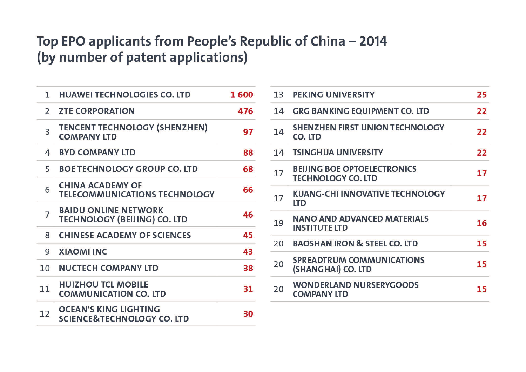#### Top EPO applicants from People's Republic of China - 2014 (by number of patent applications)

| 1.                      | <b>HUAWEI TECHNOLOGIES CO. LTD</b>                                    | 1600 |
|-------------------------|-----------------------------------------------------------------------|------|
| $\overline{2}$          | <b>ZTE CORPORATION</b>                                                | 476  |
| $\overline{\mathbf{3}}$ | <b>TENCENT TECHNOLOGY (SHENZHEN)</b><br><b>COMPANY LTD</b>            | 97   |
| 4                       | <b>BYD COMPANY LTD</b>                                                | 88   |
| 5                       | <b>BOE TECHNOLOGY GROUP CO. LTD</b>                                   | 68   |
| 6                       | <b>CHINA ACADEMY OF</b><br><b>TELECOMMUNICATIONS TECHNOLOGY</b>       | 66   |
| 7                       | <b>BAIDU ONLINE NETWORK</b><br><b>TECHNOLOGY (BEIJING) CO. LTD</b>    | 46   |
| 8                       | <b>CHINESE ACADEMY OF SCIENCES</b>                                    | 45   |
| 9                       | <b>XIAOMI INC</b>                                                     | 43   |
| 10                      | <b>NUCTECH COMPANY LTD</b>                                            | 38   |
| 11                      | <b>HUIZHOU TCL MOBILE</b><br><b>COMMUNICATION CO. LTD</b>             | 31   |
| 12                      | <b>OCEAN'S KING LIGHTING</b><br><b>SCIENCE&amp;TECHNOLOGY CO. LTD</b> | 30   |

| 13 | PEKING UNIVERSITY                                               | 25 |
|----|-----------------------------------------------------------------|----|
| 14 | <b>GRG BANKING EQUIPMENT CO. LTD</b>                            | 22 |
| 14 | <b>SHENZHEN FIRST UNION TECHNOLOGY</b><br>CO. LTD               | 22 |
| 14 | <b>TSINGHUA UNIVERSITY</b>                                      | 22 |
| 17 | <b>BEIJING BOE OPTOELECTRONICS</b><br><b>TECHNOLOGY CO. LTD</b> | 17 |
| 17 | <b>KUANG-CHI INNOVATIVE TECHNOLOGY</b><br><b>LTD</b>            | 17 |
| 19 | <b>NANO AND ADVANCED MATERIALS</b><br><b>INSTITUTE LTD</b>      | 16 |
| 20 | <b>BAOSHAN IRON &amp; STEEL CO. LTD</b>                         | 15 |
| 20 | <b>SPREADTRUM COMMUNICATIONS</b><br>(SHANGHAI) CO. LTD          | 15 |
| 20 | <b>WONDERLAND NURSERYGOODS</b><br><b>COMPANY LTD</b>            | 15 |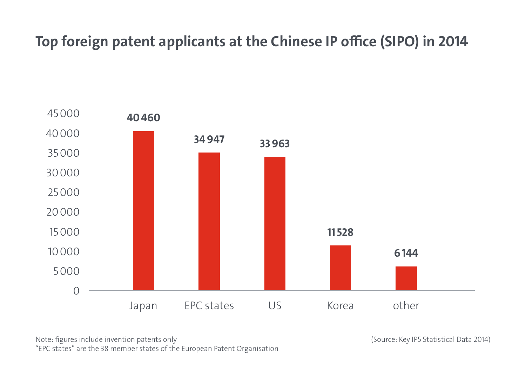# Top foreign patent applicants at the Chinese IP office (SIPO) in 2014



Note: figures include invention patents only "EPC states" are the 38 member states of the European Patent Organisation (Source: Key IP5 Statistical Data 2014)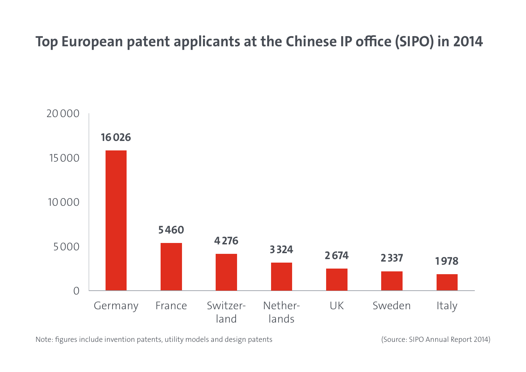# Top European patent applicants at the Chinese IP office (SIPO) in 2014



Note: figures include invention patents, utility models and design patents (Source: SIPO Annual Report 2014)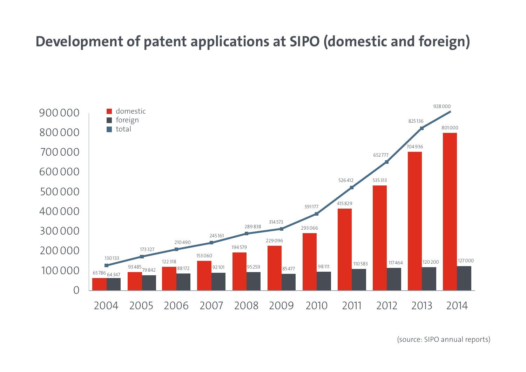### Development of patent applications at SIPO (domestic and foreign)



(source: SIPO annual reports)